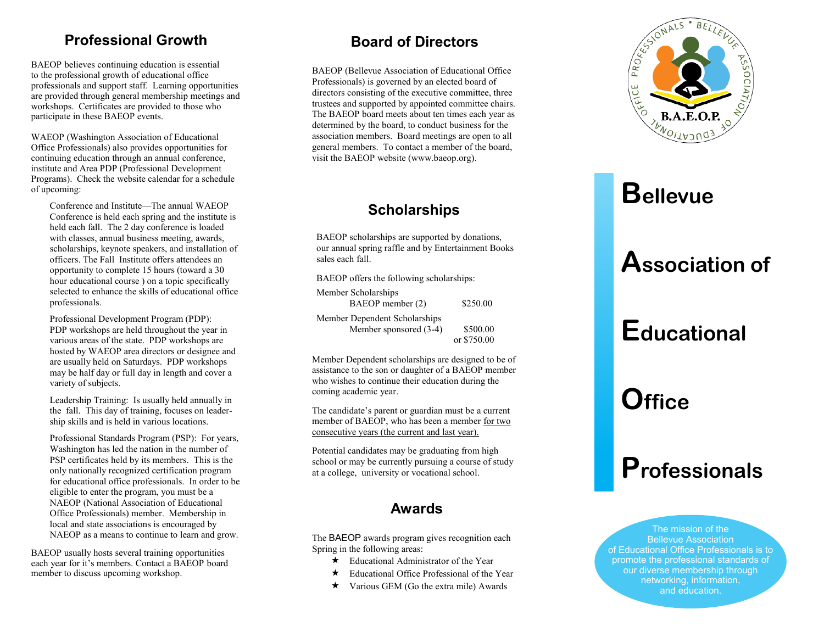#### **Professional Growth**

BAEOP believes continuing education is essential to the professional growth of educational office professionals and support staff. Learning opportunities are provided through general membership meetings and workshops. Certificates are provided to those who participate in these BAEOP events.

WAEOP (Washington Association of Educational Office Professionals) also provides opportunities for continuing education through an annual conference, institute and Area PDP (Professional Development Programs). Check the website calendar for a schedule of upcoming:

Conference and Institute —The annual WAEOP Conference is held each spring and the institute is held each fall. The 2 day conference is loaded with classes, annual business meeting, awards, scholarships, keynote speakers, and installation of officers. The Fall Institute offers attendees an opportunity to complete 15 hours (toward a 30 hour educational course ) on a topic specifically selected to enhance the skills of educational office professionals.

Professional Development Program (PDP): PDP workshops are held throughout the year in various areas of the state. PDP workshops are hosted by WAEOP area directors or designee and are usually held on Saturdays. PDP workshops may be half day or full day in length and cover a variety of subjects.

Leadership Training: Is usually held annually in the fall. This day of training, focuses on leadership skills and is held in various locations.

Professional Standards Program (PSP): For years, Washington has led the nation in the number of PSP certificates held by its members. This is the only nationally recognized certification program for educational office professionals. In order to be eligible to enter the program, you must be a NAEOP (National Association of Educational Office Professionals) member. Membership in local and state associations is encouraged by NAEOP as a means to continue to learn and grow.

BAEOP usually hosts several training opportunities each year for it 's members. Contact a BAEOP board member to discuss upcoming workshop.

### **Board of Directors**

BAEOP (Bellevue Association of Educational Office Professionals) is governed by an elected board of directors consisting of the executive committee, three trustees and supported by appointed committee chairs. The BAEOP board meets about ten times each year as determined by the board, to conduct business for the association members. Board meetings are open to all general members. To contact a member of the board, visit the BAEOP website (www.baeop.org).

### **Scholarships**

BAEOP scholarships are supported by donations, our annual spring raffle and by Entertainment Books sales each fall.

BAEOP offers the following scholarships:

Member Scholarships BAEOP member (2) \$250.00 Member Dependent Scholarships Member sponsored (3-4) \$500.00 or \$750.00

Member Dependent scholarships are designed to be of assistance to the son or daughter of a BAEOP member who wishes to continue their education during the coming academic year.

The candidate 's parent or guardian must be a current member of BAEOP, who has been a member for two consecutive years (the current and last year).

Potential candidates may be graduating from high school or may be currently pursuing a course of study at a college, university or vocational school.

### **Awards**

The BAEOP awards program gives recognition each Spring in the following areas:

- **★** Educational Administrator of the Year
- ★ Educational Office Professional of the Year
- ★ Various GEM (Go the extra mile) Awards



## **Bellevue**

### **Association of**

# **Educational**

# **Office**

### **Professionals**

The mission of the Bellevue Association of Educational Office Professionals is to promote the professional standards of our diverse membership through networking, information, and education.